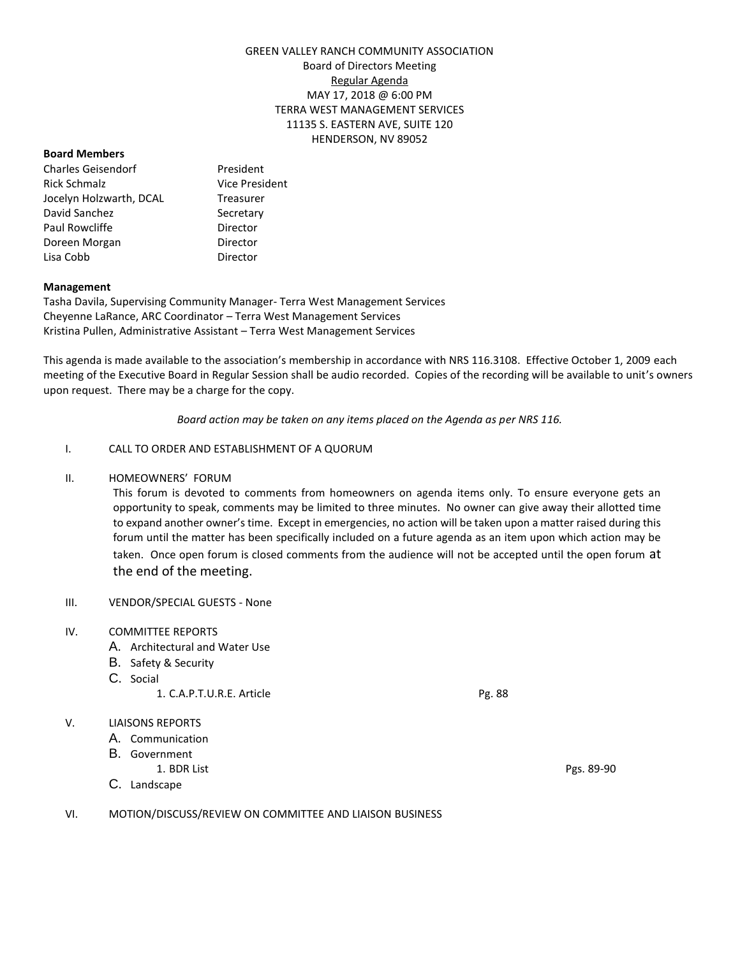# GREEN VALLEY RANCH COMMUNITY ASSOCIATION Board of Directors Meeting Regular Agenda MAY 17, 2018 @ 6:00 PM TERRA WEST MANAGEMENT SERVICES 11135 S. EASTERN AVE, SUITE 120 HENDERSON, NV 89052

### **Board Members**

Charles Geisendorf President Rick Schmalz **Vice President** Jocelyn Holzwarth, DCAL Treasurer David Sanchez Secretary Paul Rowcliffe **Director** Doreen Morgan **Director** Lisa Cobb Director

# **Management**

Tasha Davila, Supervising Community Manager- Terra West Management Services Cheyenne LaRance, ARC Coordinator – Terra West Management Services Kristina Pullen, Administrative Assistant – Terra West Management Services

This agenda is made available to the association's membership in accordance with NRS 116.3108. Effective October 1, 2009 each meeting of the Executive Board in Regular Session shall be audio recorded. Copies of the recording will be available to unit's owners upon request. There may be a charge for the copy.

*Board action may be taken on any items placed on the Agenda as per NRS 116.*

## I. CALL TO ORDER AND ESTABLISHMENT OF A QUORUM

### II. HOMEOWNERS' FORUM

This forum is devoted to comments from homeowners on agenda items only. To ensure everyone gets an opportunity to speak, comments may be limited to three minutes. No owner can give away their allotted time to expand another owner's time. Except in emergencies, no action will be taken upon a matter raised during this forum until the matter has been specifically included on a future agenda as an item upon which action may be taken. Once open forum is closed comments from the audience will not be accepted until the open forum at the end of the meeting.

## III. VENDOR/SPECIAL GUESTS - None

## IV. COMMITTEE REPORTS

- A. Architectural and Water Use
- B. Safety & Security
- C. Social
	- 1. C.A.P.T.U.R.E. Article Pg. 88

## V. LIAISONS REPORTS

- A. Communication
- B. Government
	- 1. BDR List Pgs. 89-90
- C. Landscape

VI. MOTION/DISCUSS/REVIEW ON COMMITTEE AND LIAISON BUSINESS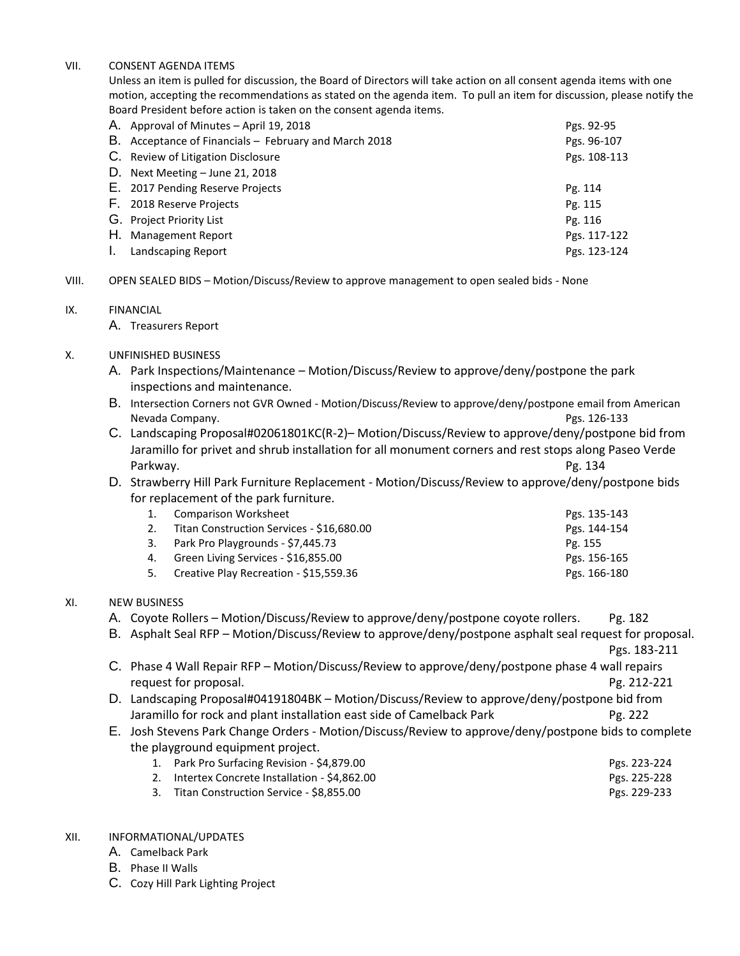### VII. CONSENT AGENDA ITEMS

Unless an item is pulled for discussion, the Board of Directors will take action on all consent agenda items with one motion, accepting the recommendations as stated on the agenda item. To pull an item for discussion, please notify the Board President before action is taken on the consent agenda items.

|    | A. Approval of Minutes - April 19, 2018               | Pgs. 92-95   |
|----|-------------------------------------------------------|--------------|
|    | B. Acceptance of Financials – February and March 2018 | Pgs. 96-107  |
|    | C. Review of Litigation Disclosure                    | Pgs. 108-113 |
|    | D. Next Meeting - June 21, 2018                       |              |
|    | E. 2017 Pending Reserve Projects                      | Pg. 114      |
|    | F. 2018 Reserve Projects                              | Pg. 115      |
|    | G. Project Priority List                              | Pg. 116      |
|    | H. Management Report                                  | Pgs. 117-122 |
| Ι. | Landscaping Report                                    | Pgs. 123-124 |

VIII. OPEN SEALED BIDS – Motion/Discuss/Review to approve management to open sealed bids - None

### IX. FINANCIAL

A. Treasurers Report

# X. UNFINISHED BUSINESS

- A. Park Inspections/Maintenance Motion/Discuss/Review to approve/deny/postpone the park inspections and maintenance.
- B. Intersection Corners not GVR Owned Motion/Discuss/Review to approve/deny/postpone email from American Nevada Company. Pgs. 126-133
- C. Landscaping Proposal#02061801KC(R-2)– Motion/Discuss/Review to approve/deny/postpone bid from Jaramillo for privet and shrub installation for all monument corners and rest stops along Paseo Verde Parkway. Pg. 134
- D. Strawberry Hill Park Furniture Replacement Motion/Discuss/Review to approve/deny/postpone bids for replacement of the park furniture.

|    | <b>Comparison Worksheet</b>               | Pgs. 135-143 |
|----|-------------------------------------------|--------------|
|    | Titan Construction Services - \$16,680.00 | Pgs. 144-154 |
|    | 3. Park Pro Playgrounds - \$7,445.73      | Pg. 155      |
| 4. | Green Living Services - \$16,855.00       | Pgs. 156-165 |
|    | 5. Creative Play Recreation - \$15,559.36 | Pgs. 166-180 |

## XI. NEW BUSINESS

- A. Coyote Rollers Motion/Discuss/Review to approve/deny/postpone coyote rollers. Pg. 182
- B. Asphalt Seal RFP Motion/Discuss/Review to approve/deny/postpone asphalt seal request for proposal.
- Pgs. 183-211 C. Phase 4 Wall Repair RFP – Motion/Discuss/Review to approve/deny/postpone phase 4 wall repairs request for proposal. Pg. 212-221
- D. Landscaping Proposal#04191804BK Motion/Discuss/Review to approve/deny/postpone bid from Jaramillo for rock and plant installation east side of Camelback Park Pg. 222
- E. Josh Stevens Park Change Orders Motion/Discuss/Review to approve/deny/postpone bids to complete the playground equipment project.
	- 1. Park Pro Surfacing Revision \$4,879.00 Pgs. 223-224
	- 2. Intertex Concrete Installation \$4,862.00 Pgs. 225-228
	- 3. Titan Construction Service \$8,855.00 Pgs. 229-233

# XII. INFORMATIONAL/UPDATES

- A. Camelback Park
- B. Phase II Walls
- C. Cozy Hill Park Lighting Project